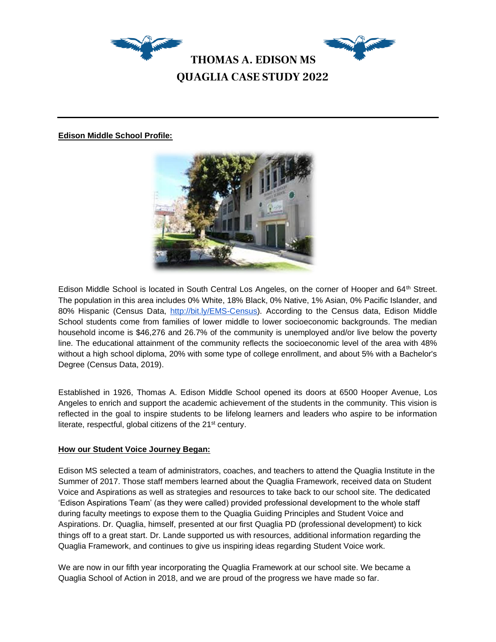

## **Edison Middle School Profile:**



Edison Middle School is located in South Central Los Angeles, on the corner of Hooper and 64<sup>th</sup> Street. The population in this area includes 0% White, 18% Black, 0% Native, 1% Asian, 0% Pacific Islander, and 80% Hispanic (Census Data, [http://bit.ly/EMS-Census\)](http://bit.ly/EMS-Census). According to the Census data, Edison Middle School students come from families of lower middle to lower socioeconomic backgrounds. The median household income is \$46,276 and 26.7% of the community is unemployed and/or live below the poverty line. The educational attainment of the community reflects the socioeconomic level of the area with 48% without a high school diploma, 20% with some type of college enrollment, and about 5% with a Bachelor's Degree (Census Data, 2019).

Established in 1926, Thomas A. Edison Middle School opened its doors at 6500 Hooper Avenue, Los Angeles to enrich and support the academic achievement of the students in the community. This vision is reflected in the goal to inspire students to be lifelong learners and leaders who aspire to be information literate, respectful, global citizens of the 21<sup>st</sup> century.

## **How our Student Voice Journey Began:**

Edison MS selected a team of administrators, coaches, and teachers to attend the Quaglia Institute in the Summer of 2017. Those staff members learned about the Quaglia Framework, received data on Student Voice and Aspirations as well as strategies and resources to take back to our school site. The dedicated 'Edison Aspirations Team' (as they were called) provided professional development to the whole staff during faculty meetings to expose them to the Quaglia Guiding Principles and Student Voice and Aspirations. Dr. Quaglia, himself, presented at our first Quaglia PD (professional development) to kick things off to a great start. Dr. Lande supported us with resources, additional information regarding the Quaglia Framework, and continues to give us inspiring ideas regarding Student Voice work.

We are now in our fifth year incorporating the Quaglia Framework at our school site. We became a Quaglia School of Action in 2018, and we are proud of the progress we have made so far.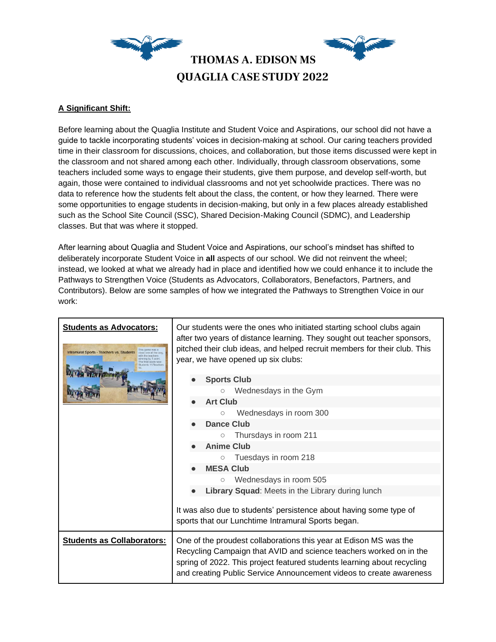

# **A Significant Shift:**

Before learning about the Quaglia Institute and Student Voice and Aspirations, our school did not have a guide to tackle incorporating students' voices in decision-making at school. Our caring teachers provided time in their classroom for discussions, choices, and collaboration, but those items discussed were kept in the classroom and not shared among each other. Individually, through classroom observations, some teachers included some ways to engage their students, give them purpose, and develop self-worth, but again, those were contained to individual classrooms and not yet schoolwide practices. There was no data to reference how the students felt about the class, the content, or how they learned. There were some opportunities to engage students in decision-making, but only in a few places already established such as the School Site Council (SSC), Shared Decision-Making Council (SDMC), and Leadership classes. But that was where it stopped.

After learning about Quaglia and Student Voice and Aspirations, our school's mindset has shifted to deliberately incorporate Student Voice in **all** aspects of our school. We did not reinvent the wheel; instead, we looked at what we already had in place and identified how we could enhance it to include the Pathways to Strengthen Voice (Students as Advocators, Collaborators, Benefactors, Partners, and Contributors). Below are some samples of how we integrated the Pathways to Strengthen Voice in our work:

| <b>Students as Advocators:</b><br>Intramural Sports - Teachers vs. Students | Our students were the ones who initiated starting school clubs again<br>after two years of distance learning. They sought out teacher sponsors,<br>pitched their club ideas, and helped recruit members for their club. This<br>year, we have opened up six clubs:<br><b>Sports Club</b>                                                      |  |  |  |  |  |  |
|-----------------------------------------------------------------------------|-----------------------------------------------------------------------------------------------------------------------------------------------------------------------------------------------------------------------------------------------------------------------------------------------------------------------------------------------|--|--|--|--|--|--|
|                                                                             | Wednesdays in the Gym<br>$\circlearrowright$<br><b>Art Club</b><br>Wednesdays in room 300<br>О<br>Dance Club<br>Thursdays in room 211<br>$\circ$<br><b>Anime Club</b><br>Tuesdays in room 218<br>$\circlearrowright$<br><b>MESA Club</b><br>Wednesdays in room 505<br>$\circlearrowright$<br>Library Squad: Meets in the Library during lunch |  |  |  |  |  |  |
|                                                                             | It was also due to students' persistence about having some type of<br>sports that our Lunchtime Intramural Sports began.                                                                                                                                                                                                                      |  |  |  |  |  |  |
| <b>Students as Collaborators:</b>                                           | One of the proudest collaborations this year at Edison MS was the<br>Recycling Campaign that AVID and science teachers worked on in the<br>spring of 2022. This project featured students learning about recycling<br>and creating Public Service Announcement videos to create awareness                                                     |  |  |  |  |  |  |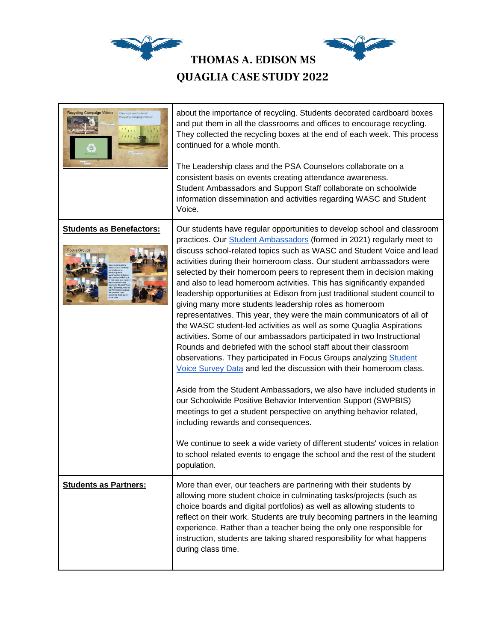

| <b>Recycling Campaign Videos</b><br>Check out our Students<br>Recycling Campaign Vic | about the importance of recycling. Students decorated cardboard boxes<br>and put them in all the classrooms and offices to encourage recycling.<br>They collected the recycling boxes at the end of each week. This process<br>continued for a whole month.<br>The Leadership class and the PSA Counselors collaborate on a<br>consistent basis on events creating attendance awareness.<br>Student Ambassadors and Support Staff collaborate on schoolwide<br>information dissemination and activities regarding WASC and Student<br>Voice.                                                                                                                                                                                                                                                                                                                                                                                                                                                                                                                                                                                                                                                                                                                                                                                                                                                                                                                                       |
|--------------------------------------------------------------------------------------|------------------------------------------------------------------------------------------------------------------------------------------------------------------------------------------------------------------------------------------------------------------------------------------------------------------------------------------------------------------------------------------------------------------------------------------------------------------------------------------------------------------------------------------------------------------------------------------------------------------------------------------------------------------------------------------------------------------------------------------------------------------------------------------------------------------------------------------------------------------------------------------------------------------------------------------------------------------------------------------------------------------------------------------------------------------------------------------------------------------------------------------------------------------------------------------------------------------------------------------------------------------------------------------------------------------------------------------------------------------------------------------------------------------------------------------------------------------------------------|
| <b>Students as Benefactors:</b><br><b>Focus Groups</b>                               | Our students have regular opportunities to develop school and classroom<br>practices. Our <b>Student Ambassadors</b> (formed in 2021) regularly meet to<br>discuss school-related topics such as WASC and Student Voice and lead<br>activities during their homeroom class. Our student ambassadors were<br>selected by their homeroom peers to represent them in decision making<br>and also to lead homeroom activities. This has significantly expanded<br>leadership opportunities at Edison from just traditional student council to<br>giving many more students leadership roles as homeroom<br>representatives. This year, they were the main communicators of all of<br>the WASC student-led activities as well as some Quaglia Aspirations<br>activities. Some of our ambassadors participated in two Instructional<br>Rounds and debriefed with the school staff about their classroom<br>observations. They participated in Focus Groups analyzing Student<br>Voice Survey Data and led the discussion with their homeroom class.<br>Aside from the Student Ambassadors, we also have included students in<br>our Schoolwide Positive Behavior Intervention Support (SWPBIS)<br>meetings to get a student perspective on anything behavior related,<br>including rewards and consequences.<br>We continue to seek a wide variety of different students' voices in relation<br>to school related events to engage the school and the rest of the student<br>population. |
| <b>Students as Partners:</b>                                                         | More than ever, our teachers are partnering with their students by<br>allowing more student choice in culminating tasks/projects (such as<br>choice boards and digital portfolios) as well as allowing students to<br>reflect on their work. Students are truly becoming partners in the learning<br>experience. Rather than a teacher being the only one responsible for<br>instruction, students are taking shared responsibility for what happens<br>during class time.                                                                                                                                                                                                                                                                                                                                                                                                                                                                                                                                                                                                                                                                                                                                                                                                                                                                                                                                                                                                         |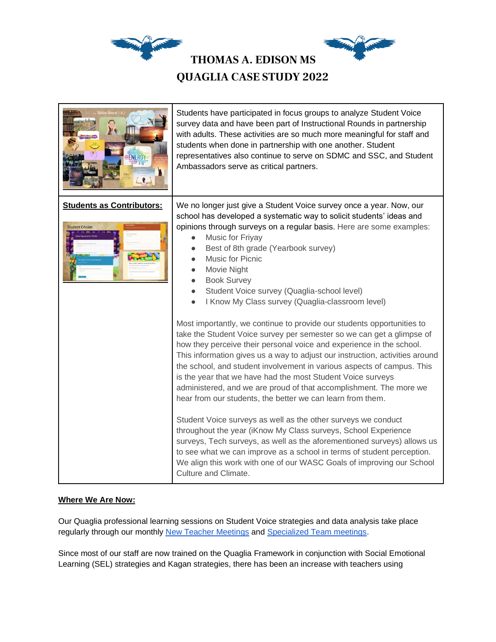

| ENERGY                                                    | Students have participated in focus groups to analyze Student Voice<br>survey data and have been part of Instructional Rounds in partnership<br>with adults. These activities are so much more meaningful for staff and<br>students when done in partnership with one another. Student<br>representatives also continue to serve on SDMC and SSC, and Student<br>Ambassadors serve as critical partners.                                                                                                                                                                                                                                                                                                                                                                                                                                                                                                                                                                                                                                                                                                                                                                                        |  |  |  |  |  |
|-----------------------------------------------------------|-------------------------------------------------------------------------------------------------------------------------------------------------------------------------------------------------------------------------------------------------------------------------------------------------------------------------------------------------------------------------------------------------------------------------------------------------------------------------------------------------------------------------------------------------------------------------------------------------------------------------------------------------------------------------------------------------------------------------------------------------------------------------------------------------------------------------------------------------------------------------------------------------------------------------------------------------------------------------------------------------------------------------------------------------------------------------------------------------------------------------------------------------------------------------------------------------|--|--|--|--|--|
| <b>Students as Contributors:</b><br><b>Student Choice</b> | We no longer just give a Student Voice survey once a year. Now, our<br>school has developed a systematic way to solicit students' ideas and<br>opinions through surveys on a regular basis. Here are some examples:<br>Music for Friyay<br>Best of 8th grade (Yearbook survey)<br>Music for Picnic<br>Movie Night<br><b>Book Survey</b><br>Student Voice survey (Quaglia-school level)<br>$\bullet$<br>I Know My Class survey (Quaglia-classroom level)<br>$\bullet$<br>Most importantly, we continue to provide our students opportunities to<br>take the Student Voice survey per semester so we can get a glimpse of<br>how they perceive their personal voice and experience in the school.<br>This information gives us a way to adjust our instruction, activities around<br>the school, and student involvement in various aspects of campus. This<br>is the year that we have had the most Student Voice surveys<br>administered, and we are proud of that accomplishment. The more we<br>hear from our students, the better we can learn from them.<br>Student Voice surveys as well as the other surveys we conduct<br>throughout the year (iKnow My Class surveys, School Experience |  |  |  |  |  |
|                                                           | surveys, Tech surveys, as well as the aforementioned surveys) allows us<br>to see what we can improve as a school in terms of student perception.<br>We align this work with one of our WASC Goals of improving our School<br>Culture and Climate.                                                                                                                                                                                                                                                                                                                                                                                                                                                                                                                                                                                                                                                                                                                                                                                                                                                                                                                                              |  |  |  |  |  |

# **Where We Are Now:**

Our Quaglia professional learning sessions on Student Voice strategies and data analysis take place regularly through our monthly [New Teacher Meetings](https://docs.google.com/document/d/1Hf6XtexGTZDVR7oQoYg2IgmkMBko3N9x/edit?usp=sharing&ouid=104688805602197163068&rtpof=true&sd=true) and [Specialized Team meetings.](https://docs.google.com/document/d/1XAyTlkWyfO2TWC0C2B7I_nc_GmnUjjbV/edit?usp=sharing&ouid=104688805602197163068&rtpof=true&sd=truen/d/1KDC_b_q96CsxLyrpoWRQatNUrhlAMAuKfih995TEAZ8/edit?usp=sharing)

Since most of our staff are now trained on the Quaglia Framework in conjunction with Social Emotional Learning (SEL) strategies and Kagan strategies, there has been an increase with teachers using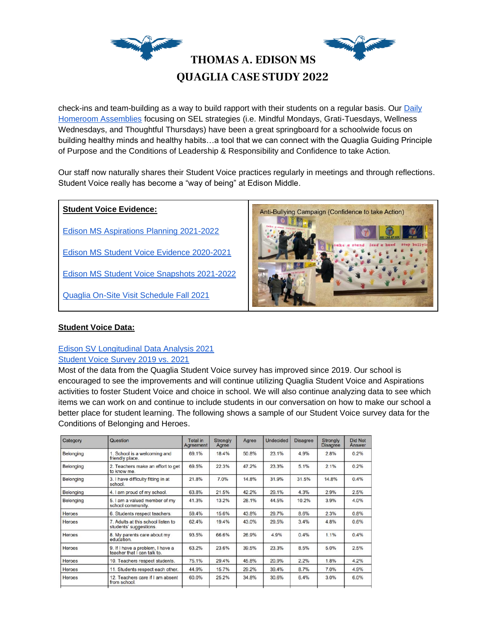

check-ins and team-building as a way to build rapport with their students on a regular basis. Our [Daily](https://docs.google.com/spreadsheets/d/1a7qDABcF8wX5bNsjXYOJgL2KYdYRjpsxwYtCrYONw_o/edit?usp=sharing)  [Homeroom Assemblies](https://docs.google.com/spreadsheets/d/1a7qDABcF8wX5bNsjXYOJgL2KYdYRjpsxwYtCrYONw_o/edit?usp=sharing) focusing on SEL strategies (i.e. Mindful Mondays, Grati-Tuesdays, Wellness Wednesdays, and Thoughtful Thursdays) have been a great springboard for a schoolwide focus on building healthy minds and healthy habits…a tool that we can connect with the Quaglia Guiding Principle of Purpose and the Conditions of Leadership & Responsibility and Confidence to take Action*.* 

Our staff now naturally shares their Student Voice practices regularly in meetings and through reflections. Student Voice really has become a "way of being" at Edison Middle.

## **Student Voice Evidence:**

[Edison MS Aspirations Planning 2021-2022](https://docs.google.com/document/d/1-L1Paoak20qbY-TGCadxwA4-La1PS3pMNRz0kmBf104/edit?usp=sharing)

[Edison MS Student Voice Evidence 2020-2021](https://sites.google.com/lausd.net/edison-ms-student-voice/home)

[Edison MS Student Voice Snapshots 2021-2022](https://docs.google.com/presentation/d/1cfPA6aJ-AoE2erzquv8TPlIc4dcyodrok8-7L7xQMTQ/edit?usp=sharing)

[Quaglia On-Site Visit Schedule Fall 2021](https://docs.google.com/document/d/10wNdBztHBY7qMPQHSxTJw8H5vWA4W4mJ/edit?usp=sharing&ouid=104688805602197163068&rtpof=true&sd=true)



## **Student Voice Data:**

## [Edison SV Longitudinal Data Analysis 2021](https://docs.google.com/document/d/1W2PZ6T3z3BEqB4KXehcWAZc4aLJoCWA6/edit?usp=sharing&ouid=104688805602197163068&rtpof=true&sd=true) [Student Voice Survey 2019 vs. 2021](https://docs.google.com/document/d/1ByiMobxyFydbOIt-e5vX6I4CcfTwBOd-9kbeNy_O3D8/edit?usp=sharing)

Most of the data from the Quaglia Student Voice survey has improved since 2019. Our school is encouraged to see the improvements and will continue utilizing Quaglia Student Voice and Aspirations activities to foster Student Voice and choice in school. We will also continue analyzing data to see which items we can work on and continue to include students in our conversation on how to make our school a better place for student learning. The following shows a sample of our Student Voice survey data for the Conditions of Belonging and Heroes.

| Category      | Question                                                        | Total in<br>Agreement | Strongly<br>Agree | Agree | <b>Undecided</b> | <b>Disagree</b> | Strongly<br><b>Disagree</b> | Did Not<br>Answer |
|---------------|-----------------------------------------------------------------|-----------------------|-------------------|-------|------------------|-----------------|-----------------------------|-------------------|
| Belonging     | 1. School is a welcoming and<br>friendly place.                 | 69.1%                 | 18.4%             | 50.8% | 23.1%            | 4.9%            | 2.8%                        | 0.2%              |
| Belonging     | 2. Teachers make an effort to get<br>to know me.                | 69.5%                 | 22.3%             | 47.2% | 23.3%            | 5.1%            | 2.1%                        | 0.2%              |
| Belonging     | 3. I have difficulty fitting in at<br>school.                   | 21.8%                 | 7.0%              | 14.8% | 31.9%            | 31.5%           | 14.8%                       | 0.4%              |
| Belonging     | 4. I am proud of my school.                                     | 63.8%                 | 21.5%             | 42.2% | 29.1%            | 4.3%            | 2.9%                        | 2.5%              |
| Belonging     | 5. I am a valued member of my<br>school community.              | 41.3%                 | 13.2%             | 28.1% | 44.5%            | 10.2%           | 3.9%                        | 4.0%              |
| <b>Heroes</b> | 6. Students respect teachers.                                   | 59.4%                 | 15.6%             | 43.8% | 29.7%            | 8.6%            | 2.3%                        | 0.8%              |
| <b>Heroes</b> | 7. Adults at this school listen to<br>students' suggestions.    | 62.4%                 | 19.4%             | 43.0% | 29.5%            | 3.4%            | 4.8%                        | 0.6%              |
| Heroes        | 8. My parents care about my<br>education.                       | 93.5%                 | 66.6%             | 26.9% | 4.9%             | 0.4%            | 1.1%                        | 0.4%              |
| Heroes        | 9. If I have a problem, I have a<br>teacher that I can talk to. | 63.2%                 | 23.6%             | 39.5% | 23.3%            | 8.5%            | 5.0%                        | 2.5%              |
| <b>Heroes</b> | 10. Teachers respect students.                                  | 75.1%                 | 29.4%             | 45.8% | 20.9%            | 2.2%            | 1.8%                        | 4.2%              |
| Heroes        | 11. Students respect each other.                                | 44.9%                 | 15.7%             | 29.2% | 39.4%            | 8.7%            | 7.0%                        | 4.9%              |
| Heroes        | 12. Teachers care if I am absent<br>from school.                | 60.0%                 | 25.2%             | 34.8% | 30.6%            | 6.4%            | 3.0%                        | 6.0%              |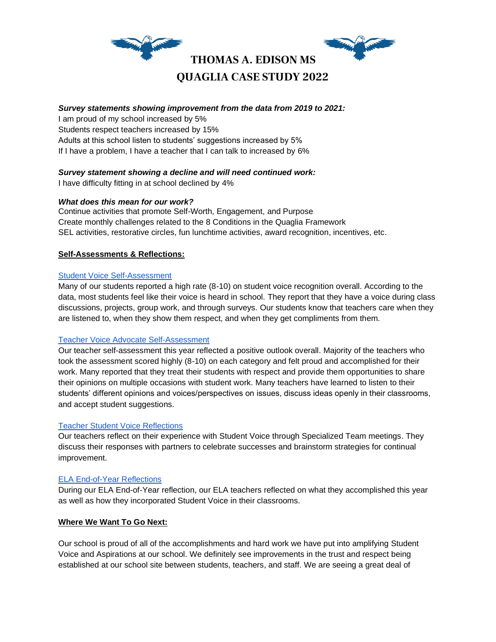

## *Survey statements showing improvement from the data from 2019 to 2021:*

I am proud of my school increased by 5% Students respect teachers increased by 15% Adults at this school listen to students' suggestions increased by 5% If I have a problem, I have a teacher that I can talk to increased by 6%

## *Survey statement showing a decline and will need continued work:*

I have difficulty fitting in at school declined by 4%

## *What does this mean for our work?*

Continue activities that promote Self-Worth, Engagement, and Purpose Create monthly challenges related to the 8 Conditions in the Quaglia Framework SEL activities, restorative circles, fun lunchtime activities, award recognition, incentives, etc.

## **Self-Assessments & Reflections:**

#### [Student Voice Self-Assessment](https://docs.google.com/document/d/1PG5ThnP_GzI8fBzjlk_zbUnBLJbglKTx9U29fUI2ERY/edit?usp=sharing)

Many of our students reported a high rate (8-10) on student voice recognition overall. According to the data, most students feel like their voice is heard in school. They report that they have a voice during class discussions, projects, group work, and through surveys. Our students know that teachers care when they are listened to, when they show them respect, and when they get compliments from them.

## [Teacher Voice Advocate Self-Assessment](https://docs.google.com/document/d/11Q8WioI_DvPro6sx8KGZATzfRWQxA3QPXVc9eEcuxlw/edit?usp=sharing)

Our teacher self-assessment this year reflected a positive outlook overall. Majority of the teachers who took the assessment scored highly (8-10) on each category and felt proud and accomplished for their work. Many reported that they treat their students with respect and provide them opportunities to share their opinions on multiple occasions with student work. Many teachers have learned to listen to their students' different opinions and voices/perspectives on issues, discuss ideas openly in their classrooms, and accept student suggestions.

## [Teacher Student Voice Reflections](https://docs.google.com/document/d/1MNpVJuEmgUdbUTgArZSronQieJ8_VMQVAKrcVIvvlUM/edit?usp=sharing)

Our teachers reflect on their experience with Student Voice through Specialized Team meetings. They discuss their responses with partners to celebrate successes and brainstorm strategies for continual improvement.

## [ELA End-of-Year Reflections](https://docs.google.com/presentation/d/1snEXLYAl2QZM-F8gVNY8dnoJWEuBVdkqDI9R6SR5gCY/edit?usp=sharing)

During our ELA End-of-Year reflection, our ELA teachers reflected on what they accomplished this year as well as how they incorporated Student Voice in their classrooms.

## **Where We Want To Go Next:**

Our school is proud of all of the accomplishments and hard work we have put into amplifying Student Voice and Aspirations at our school. We definitely see improvements in the trust and respect being established at our school site between students, teachers, and staff. We are seeing a great deal of